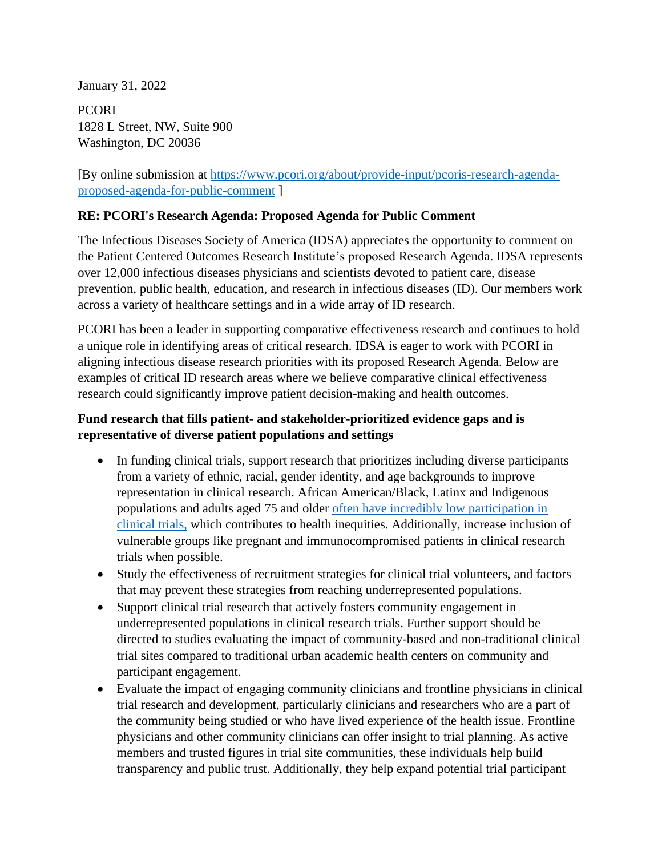January 31, 2022

**PCORI** 1828 L Street, NW, Suite 900 Washington, DC 20036

[By online submission at [https://www.pcori.org/about/provide-input/pcoris-research-agenda](https://www.pcori.org/about/provide-input/pcoris-research-agenda-proposed-agenda-for-public-comment)[proposed-agenda-for-public-comment](https://www.pcori.org/about/provide-input/pcoris-research-agenda-proposed-agenda-for-public-comment) ]

#### **RE: PCORI's Research Agenda: Proposed Agenda for Public Comment**

The Infectious Diseases Society of America (IDSA) appreciates the opportunity to comment on the Patient Centered Outcomes Research Institute's proposed Research Agenda. IDSA represents over 12,000 infectious diseases physicians and scientists devoted to patient care, disease prevention, public health, education, and research in infectious diseases (ID). Our members work across a variety of healthcare settings and in a wide array of ID research.

PCORI has been a leader in supporting comparative effectiveness research and continues to hold a unique role in identifying areas of critical research. IDSA is eager to work with PCORI in aligning infectious disease research priorities with its proposed Research Agenda. Below are examples of critical ID research areas where we believe comparative clinical effectiveness research could significantly improve patient decision-making and health outcomes.

### **Fund research that fills patient- and stakeholder-prioritized evidence gaps and is representative of diverse patient populations and settings**

- In funding clinical trials, support research that prioritizes including diverse participants from a variety of ethnic, racial, gender identity, and age backgrounds to improve representation in clinical research. African American/Black, Latinx and Indigenous populations and adults aged 75 and older [often have incredibly low participation in](https://www.fda.gov/consumers/consumer-updates/fda-encourages-more-participation-diversity-clinical-trials)  [clinical trials,](https://www.fda.gov/consumers/consumer-updates/fda-encourages-more-participation-diversity-clinical-trials) which contributes to health inequities. Additionally, increase inclusion of vulnerable groups like pregnant and immunocompromised patients in clinical research trials when possible.
- Study the effectiveness of recruitment strategies for clinical trial volunteers, and factors that may prevent these strategies from reaching underrepresented populations.
- Support clinical trial research that actively fosters community engagement in underrepresented populations in clinical research trials. Further support should be directed to studies evaluating the impact of community-based and non-traditional clinical trial sites compared to traditional urban academic health centers on community and participant engagement.
- Evaluate the impact of engaging community clinicians and frontline physicians in clinical trial research and development, particularly clinicians and researchers who are a part of the community being studied or who have lived experience of the health issue. Frontline physicians and other community clinicians can offer insight to trial planning. As active members and trusted figures in trial site communities, these individuals help build transparency and public trust. Additionally, they help expand potential trial participant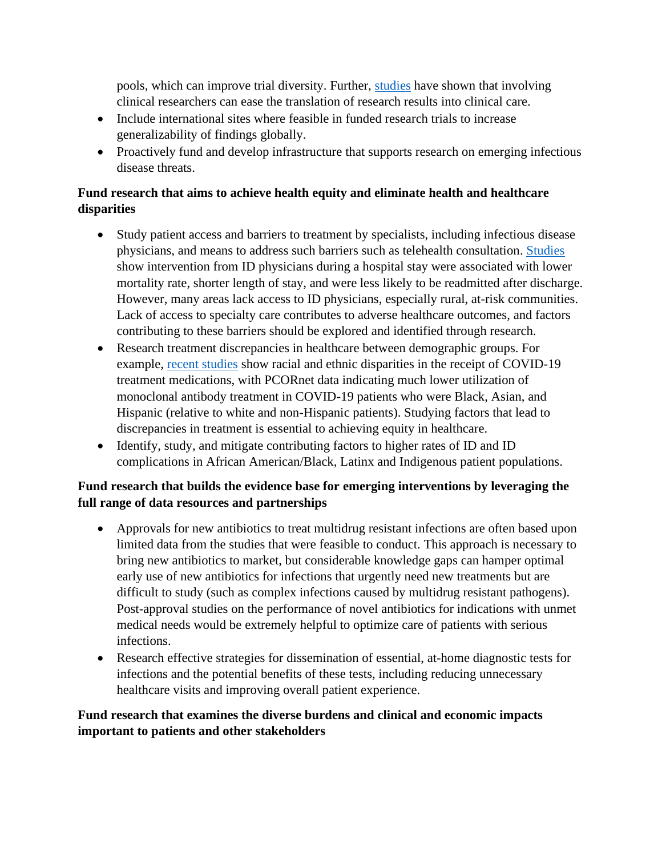pools, which can improve trial diversity. Further, [studies](https://www.nejm.org/doi/full/10.1056/NEJMp2107331) have shown that involving clinical researchers can ease the translation of research results into clinical care.

- Include international sites where feasible in funded research trials to increase generalizability of findings globally.
- Proactively fund and develop infrastructure that supports research on emerging infectious disease threats.

# **Fund research that aims to achieve health equity and eliminate health and healthcare disparities**

- Study patient access and barriers to treatment by specialists, including infectious disease physicians, and means to address such barriers such as telehealth consultation. [Studies](https://pubmed.ncbi.nlm.nih.gov/29901775/) show intervention from ID physicians during a hospital stay were associated with lower mortality rate, shorter length of stay, and were less likely to be readmitted after discharge. However, many areas lack access to ID physicians, especially rural, at-risk communities. Lack of access to specialty care contributes to adverse healthcare outcomes, and factors contributing to these barriers should be explored and identified through research.
- Research treatment discrepancies in healthcare between demographic groups. For example, [recent studies](https://www.cdc.gov/mmwr/volumes/71/wr/mm7103e1.htm) show racial and ethnic disparities in the receipt of COVID-19 treatment medications, with PCORnet data indicating much lower utilization of monoclonal antibody treatment in COVID-19 patients who were Black, Asian, and Hispanic (relative to white and non-Hispanic patients). Studying factors that lead to discrepancies in treatment is essential to achieving equity in healthcare.
- Identify, study, and mitigate contributing factors to higher rates of ID and ID complications in African American/Black, Latinx and Indigenous patient populations.

### **Fund research that builds the evidence base for emerging interventions by leveraging the full range of data resources and partnerships**

- Approvals for new antibiotics to treat multidrug resistant infections are often based upon limited data from the studies that were feasible to conduct. This approach is necessary to bring new antibiotics to market, but considerable knowledge gaps can hamper optimal early use of new antibiotics for infections that urgently need new treatments but are difficult to study (such as complex infections caused by multidrug resistant pathogens). Post-approval studies on the performance of novel antibiotics for indications with unmet medical needs would be extremely helpful to optimize care of patients with serious infections.
- Research effective strategies for dissemination of essential, at-home diagnostic tests for infections and the potential benefits of these tests, including reducing unnecessary healthcare visits and improving overall patient experience.

### **Fund research that examines the diverse burdens and clinical and economic impacts important to patients and other stakeholders**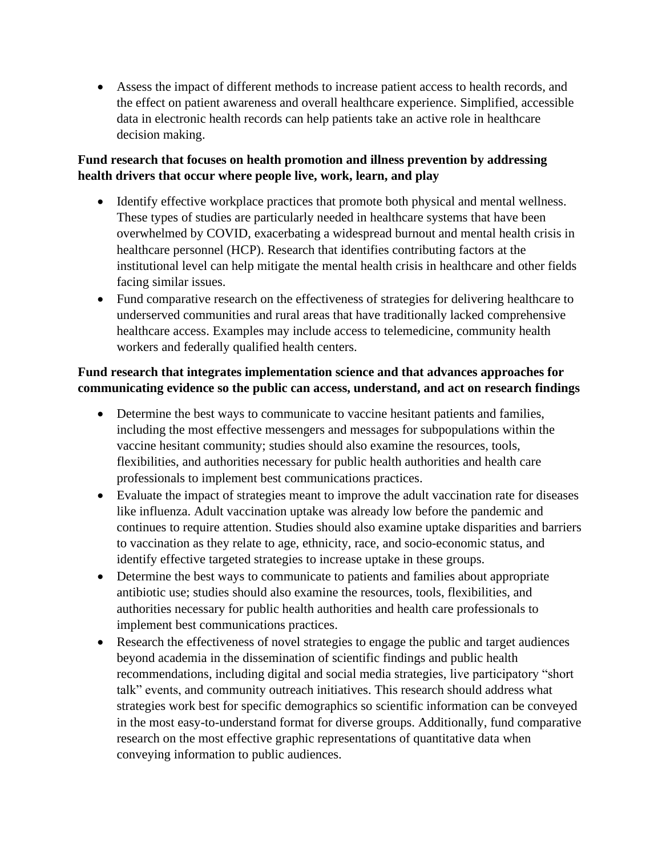• Assess the impact of different methods to increase patient access to health records, and the effect on patient awareness and overall healthcare experience. Simplified, accessible data in electronic health records can help patients take an active role in healthcare decision making.

# **Fund research that focuses on health promotion and illness prevention by addressing health drivers that occur where people live, work, learn, and play**

- Identify effective workplace practices that promote both physical and mental wellness. These types of studies are particularly needed in healthcare systems that have been overwhelmed by COVID, exacerbating a widespread burnout and mental health crisis in healthcare personnel (HCP). Research that identifies contributing factors at the institutional level can help mitigate the mental health crisis in healthcare and other fields facing similar issues.
- Fund comparative research on the effectiveness of strategies for delivering healthcare to underserved communities and rural areas that have traditionally lacked comprehensive healthcare access. Examples may include access to telemedicine, community health workers and federally qualified health centers.

# **Fund research that integrates implementation science and that advances approaches for communicating evidence so the public can access, understand, and act on research findings**

- Determine the best ways to communicate to vaccine hesitant patients and families, including the most effective messengers and messages for subpopulations within the vaccine hesitant community; studies should also examine the resources, tools, flexibilities, and authorities necessary for public health authorities and health care professionals to implement best communications practices.
- Evaluate the impact of strategies meant to improve the adult vaccination rate for diseases like influenza. Adult vaccination uptake was already low before the pandemic and continues to require attention. Studies should also examine uptake disparities and barriers to vaccination as they relate to age, ethnicity, race, and socio-economic status, and identify effective targeted strategies to increase uptake in these groups.
- Determine the best ways to communicate to patients and families about appropriate antibiotic use; studies should also examine the resources, tools, flexibilities, and authorities necessary for public health authorities and health care professionals to implement best communications practices.
- Research the effectiveness of novel strategies to engage the public and target audiences beyond academia in the dissemination of scientific findings and public health recommendations, including digital and social media strategies, live participatory "short talk" events, and community outreach initiatives. This research should address what strategies work best for specific demographics so scientific information can be conveyed in the most easy-to-understand format for diverse groups. Additionally, fund comparative research on the most effective graphic representations of quantitative data when conveying information to public audiences.